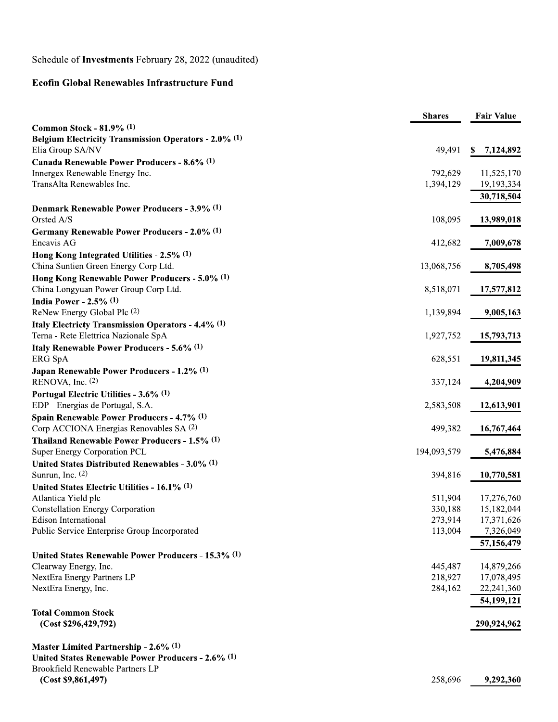Schedule of Investments February 28, 2022 (unaudited)

## Ecofin Global Renewables Infrastructure Fund

|                                                       | <b>Shares</b> | <b>Fair Value</b> |
|-------------------------------------------------------|---------------|-------------------|
| Common Stock - 81.9% (1)                              |               |                   |
| Belgium Electricity Transmission Operators - 2.0% (1) |               |                   |
| Elia Group SA/NV                                      | 49,491        | 7,124,892<br>\$   |
| Canada Renewable Power Producers - 8.6% (1)           |               |                   |
| Innergex Renewable Energy Inc.                        | 792,629       | 11,525,170        |
| TransAlta Renewables Inc.                             | 1,394,129     | 19,193,334        |
|                                                       |               | 30,718,504        |
| Denmark Renewable Power Producers - 3.9% (1)          |               |                   |
| Orsted A/S                                            | 108,095       | 13,989,018        |
| Germany Renewable Power Producers - 2.0% (1)          |               |                   |
| Encavis AG                                            | 412,682       | 7,009,678         |
| Hong Kong Integrated Utilities - $2.5\%$ (1)          |               |                   |
| China Suntien Green Energy Corp Ltd.                  | 13,068,756    | 8,705,498         |
| Hong Kong Renewable Power Producers - 5.0% (1)        |               |                   |
| China Longyuan Power Group Corp Ltd.                  | 8,518,071     | 17,577,812        |
| India Power - $2.5\%$ (1)                             |               |                   |
| ReNew Energy Global Plc (2)                           | 1,139,894     | 9,005,163         |
| Italy Electricty Transmission Operators - 4.4% (1)    |               |                   |
| Terna - Rete Elettrica Nazionale SpA                  | 1,927,752     | 15,793,713        |
| Italy Renewable Power Producers - 5.6% (1)            |               |                   |
| ERG SpA                                               | 628,551       | 19,811,345        |
| Japan Renewable Power Producers - 1.2% (1)            |               |                   |
| RENOVA, Inc. $(2)$                                    | 337,124       | 4,204,909         |
| Portugal Electric Utilities - $3.6\%$ (1)             |               |                   |
| EDP - Energias de Portugal, S.A.                      | 2,583,508     | 12,613,901        |
| Spain Renewable Power Producers - 4.7% (1)            |               |                   |
| Corp ACCIONA Energias Renovables SA (2)               | 499,382       | 16,767,464        |
| Thailand Renewable Power Producers - 1.5% (1)         |               |                   |
| <b>Super Energy Corporation PCL</b>                   | 194,093,579   | 5,476,884         |
| United States Distributed Renewables - 3.0% (1)       |               |                   |
| Sunrun, Inc. $(2)$                                    | 394,816       | 10,770,581        |
| United States Electric Utilities - 16.1% (1)          |               |                   |
| Atlantica Yield plc                                   | 511,904       | 17,276,760        |
| <b>Constellation Energy Corporation</b>               | 330,188       | 15,182,044        |
| <b>Edison International</b>                           | 273,914       | 17,371,626        |
| Public Service Enterprise Group Incorporated          | 113,004       | 7,326,049         |
|                                                       |               | 57,156,479        |
| United States Renewable Power Producers - 15.3% (1)   |               |                   |
| Clearway Energy, Inc.                                 | 445,487       | 14,879,266        |
| <b>NextEra Energy Partners LP</b>                     | 218,927       | 17,078,495        |
| NextEra Energy, Inc.                                  | 284,162       | 22,241,360        |
|                                                       |               | 54,199,121        |
| <b>Total Common Stock</b>                             |               |                   |
| (Cost \$296,429,792)                                  |               | 290,924,962       |
| Master Limited Partnership - $2.6\%$ (1)              |               |                   |
| United States Renewable Power Producers - 2.6% (1)    |               |                   |
| Brookfield Renewable Partners LP                      |               |                   |
| (Cost \$9,861,497)                                    | 258,696       | 9,292,360         |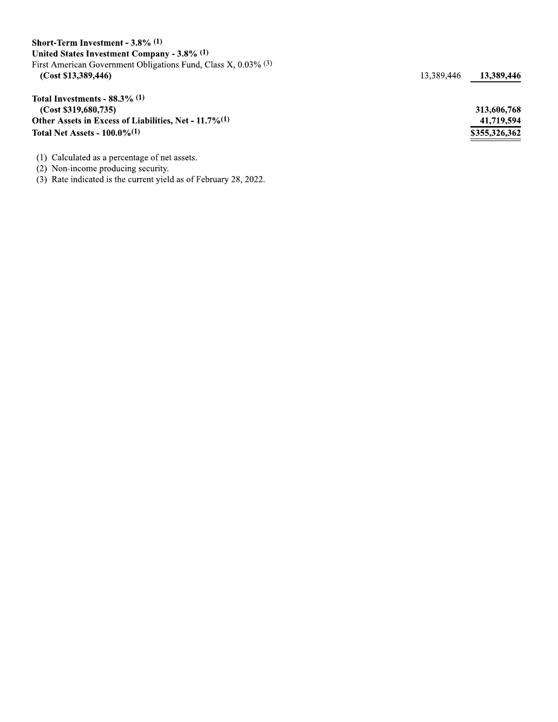## Short-Term Investment - 3.8% (1) United States Investment Company - 3.8% (1) First American Government Obligations Fund, Class X, 0.03% (3)  $(Cost $13,389,446)$

| Total Investments - $88.3\%$ $^{(1)}$                    |  |
|----------------------------------------------------------|--|
| (Cost \$319,680,735)                                     |  |
| Other Assets in Excess of Liabilities, Net - $11.7\%/11$ |  |
| Total Net Assets - $100.0\%/10$                          |  |

13,389,446

13,389,446

313,606,768 41,719,594 \$355,326,362

(1) Calculated as a percentage of net assets.

(2) Non-income producing security.

(3) Rate indicated is the current yield as of February 28, 2022.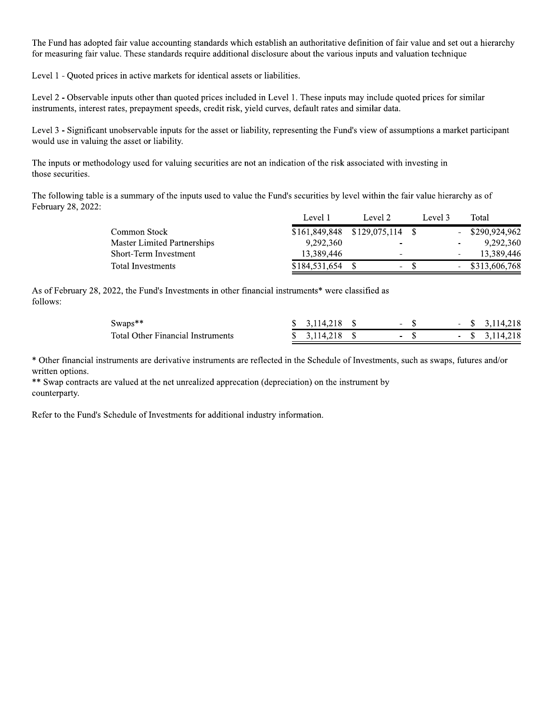The Fund has adopted fair value accounting standards which establish an authoritative definition of fair value and set out a hierarchy for measuring fair value. These standards require additional disclosure about the various inputs and valuation technique

Level 1 - Quoted prices in active markets for identical assets or liabilities.

Level 2 - Observable inputs other than quoted prices included in Level 1. These inputs may include quoted prices for similar instruments, interest rates, prepayment speeds, credit risk, yield curves, default rates and similar data.

Level 3 - Significant unobservable inputs for the asset or liability, representing the Fund's view of assumptions a market participant would use in valuing the asset or liability.

The inputs or methodology used for valuing securities are not an indication of the risk associated with investing in those securities.

The following table is a summary of the inputs used to value the Fund's securities by level within the fair value hierarchy as of February 28, 2022:  $\ddot{\phantom{1}}$  $\mathbf{L}^{\mathbf{L}}$  $\mathbb{R}^2$  $\mathbf{r}$  $\sim$ 

|                                    | Level 1       | Level 2                          | Level 3 | Total                                  |
|------------------------------------|---------------|----------------------------------|---------|----------------------------------------|
| Common Stock                       |               | $$161,849,848$ $$129,075,114$ \$ |         | $-$ \$290,924,962                      |
| <b>Master Limited Partnerships</b> | 9,292,360     | $\overline{\phantom{0}}$         |         | 9,292,360                              |
| <b>Short-Term Investment</b>       | 13,389,446    | $\overline{\phantom{a}}$         |         | 13,389,446<br>$\overline{\phantom{a}}$ |
| Total Investments                  | \$184,531,654 | $\sim$ 10 $\pm$                  |         | $-$ \$313,606,768                      |

As of February 28, 2022, the Fund's Investments in other financial instruments\* were classified as follows:

| $Swaps**$                                |                                  |      |  | $-$ \$ 3,114,218 |
|------------------------------------------|----------------------------------|------|--|------------------|
| <b>Total Other Financial Instruments</b> | $\text{\$}$ 3,114,218 \text{\\$} | $-8$ |  | $-$ \$ 3,114,218 |

\* Other financial instruments are derivative instruments are reflected in the Schedule of Investments, such as swaps, futures and/or written options.

\*\* Swap contracts are valued at the net unrealized apprecation (depreciation) on the instrument by counterparty.

Refer to the Fund's Schedule of Investments for additional industry information.